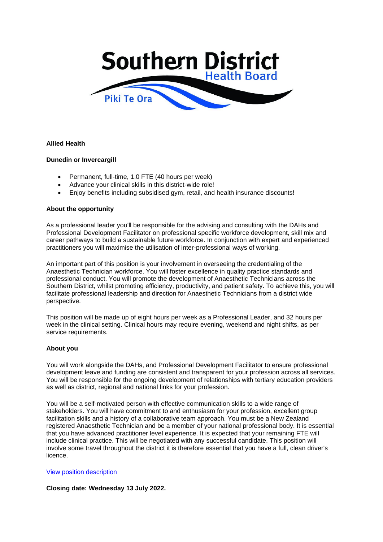

## **Allied Health**

## **Dunedin or Invercargill**

- Permanent, full-time, 1.0 FTE (40 hours per week)
- Advance your clinical skills in this district-wide role!
- Enjoy benefits including subsidised gym, retail, and health insurance discounts!

#### **About the opportunity**

As a professional leader you'll be responsible for the advising and consulting with the DAHs and Professional Development Facilitator on professional specific workforce development, skill mix and career pathways to build a sustainable future workforce. In conjunction with expert and experienced practitioners you will maximise the utilisation of inter-professional ways of working.

An important part of this position is your involvement in overseeing the credentialing of the Anaesthetic Technician workforce. You will foster excellence in quality practice standards and professional conduct. You will promote the development of Anaesthetic Technicians across the Southern District, whilst promoting efficiency, productivity, and patient safety. To achieve this, you will facilitate professional leadership and direction for Anaesthetic Technicians from a district wide perspective.

This position will be made up of eight hours per week as a Professional Leader, and 32 hours per week in the clinical setting. Clinical hours may require evening, weekend and night shifts, as per service requirements.

#### **About you**

You will work alongside the DAHs, and Professional Development Facilitator to ensure professional development leave and funding are consistent and transparent for your profession across all services. You will be responsible for the ongoing development of relationships with tertiary education providers as well as district, regional and national links for your profession.

You will be a self-motivated person with effective communication skills to a wide range of stakeholders. You will have commitment to and enthusiasm for your profession, excellent group facilitation skills and a history of a collaborative team approach. You must be a New Zealand registered Anaesthetic Technician and be a member of your national professional body. It is essential that you have advanced practitioner level experience. It is expected that your remaining FTE will include clinical practice. This will be negotiated with any successful candidate. This position will involve some travel throughout the district it is therefore essential that you have a full, clean driver's licence.

#### [View position description](https://www.southernhealth.nz/sites/default/files/2022-05/SDHB%20AHST%20Professional%20Leader%20Position%20Description.pdf)

**Closing date: Wednesday 13 July 2022.**